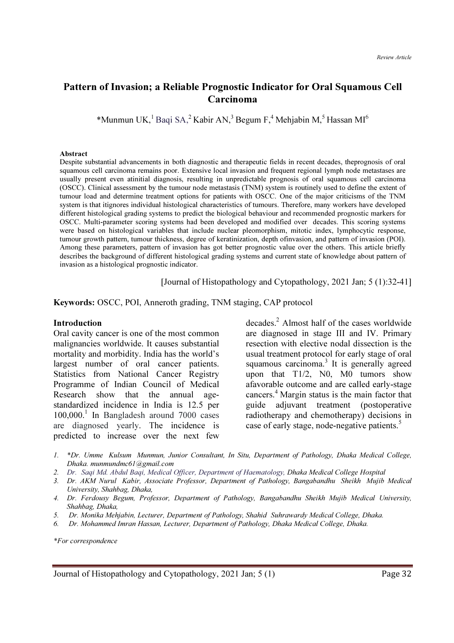# Pattern of Invasion; a Reliable Prognostic Indicator for Oral Squamous Cell Carcinoma

\*Munmun UK,<sup>1</sup> Baqi SA,<sup>2</sup> Kabir AN,<sup>3</sup> Begum F,<sup>4</sup> Mehjabin M,<sup>5</sup> Hassan MI<sup>6</sup>

#### Abstract

Despite substantial advancements in both diagnostic and therapeutic fields in recent decades, theprognosis of oral squamous cell carcinoma remains poor. Extensive local invasion and frequent regional lymph node metastases are usually present even atinitial diagnosis, resulting in unpredictable prognosis of oral squamous cell carcinoma (OSCC). Clinical assessment by the tumour node metastasis (TNM) system is routinely used to define the extent of tumour load and determine treatment options for patients with OSCC. One of the major criticisms of the TNM system is that itignores individual histological characteristics of tumours. Therefore, many workers have developed different histological grading systems to predict the biological behaviour and recommended prognostic markers for OSCC. Multi-parameter scoring systems had been developed and modified over decades. This scoring systems were based on histological variables that include nuclear pleomorphism, mitotic index, lymphocytic response, tumour growth pattern, tumour thickness, degree of keratinization, depth ofinvasion, and pattern of invasion (POI). Among these parameters, pattern of invasion has got better prognostic value over the others. This article briefly describes the background of different histological grading systems and current state of knowledge about pattern of invasion as a histological prognostic indicator.

[Journal of Histopathology and Cytopathology, 2021 Jan; 5 (1):32-41]

Keywords: OSCC, POI, Anneroth grading, TNM staging, CAP protocol

#### Introduction

Oral cavity cancer is one of the most common malignancies worldwide. It causes substantial mortality and morbidity. India has the world's largest number of oral cancer patients. Statistics from National Cancer Registry Programme of Indian Council of Medical Research show that the annual agestandardized incidence in India is 12.5 per 100,000.<sup>1</sup> In Bangladesh around 7000 cases are diagnosed yearly. The incidence is predicted to increase over the next few

decades.<sup>2</sup> Almost half of the cases worldwide are diagnosed in stage III and IV. Primary resection with elective nodal dissection is the usual treatment protocol for early stage of oral squamous carcinoma. $3$  It is generally agreed upon that T1/2, N0, M0 tumors show afavorable outcome and are called early-stage cancers.<sup>4</sup> Margin status is the main factor that guide adjuvant treatment (postoperative radiotherapy and chemotherapy) decisions in case of early stage, node-negative patients.<sup>5</sup>

- 1. \*Dr. Umme Kulsum Munmun, Junior Consultant, In Situ, Department of Pathology, Dhaka Medical College, Dhaka. munmundmc61@gmail.com
- 2. Dr. Saqi Md. Abdul Baqi, Medical Officer, Department of Haematology, Dhaka Medical College Hospital
- 3. Dr. AKM Nurul Kabir, Associate Professor, Department of Pathology, Bangabandhu Sheikh Mujib Medical University, Shahbag, Dhaka,
- 4. Dr. Ferdousy Begum, Professor, Department of Pathology, Bangabandhu Sheikh Mujib Medical University, Shahbag, Dhaka,
- 5. Dr. Monika Mehjabin, Lecturer, Department of Pathology, Shahid Suhrawardy Medical College, Dhaka.
- 6. Dr. Mohammed Imran Hassan, Lecturer, Department of Pathology, Dhaka Medical College, Dhaka.

\*For correspondence

Journal of Histopathology and Cytopathology, 2021 Jan; 5 (1) Page 32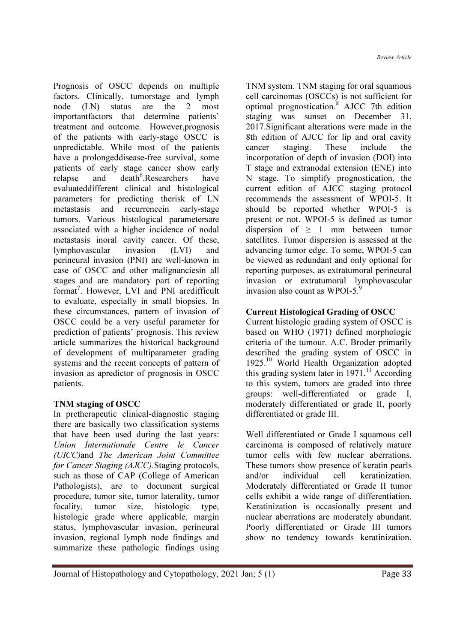Review Article

Prognosis of OSCC depends on multiple factors. Clinically, tumorstage and lymph node (LN) status are the 2 most importantfactors that determine patients' treatment and outcome. However,prognosis of the patients with early-stage OSCC is unpredictable. While most of the patients have a prolongeddisease-free survival, some patients of early stage cancer show early relapse and death<sup>6</sup>.Researchers have evaluateddifferent clinical and histological parameters for predicting therisk of LN metastasis and recurrencein early-stage tumors. Various histological parametersare associated with a higher incidence of nodal metastasis inoral cavity cancer. Of these, lymphovascular invasion (LVI) and perineural invasion (PNI) are well-known in case of OSCC and other malignanciesin all stages and are mandatory part of reporting format<sup>7</sup>. However, LVI and PNI aredifficult to evaluate, especially in small biopsies. In these circumstances, pattern of invasion of OSCC could be a very useful parameter for prediction of patients' prognosis. This review article summarizes the historical background of development of multiparameter grading systems and the recent concepts of pattern of invasion as apredictor of prognosis in OSCC patients.

#### TNM staging of OSCC

In pretherapeutic clinical-diagnostic staging there are basically two classification systems that have been used during the last years: Union Internationale Centre le Cancer (UICC)and The American Joint Committee for Cancer Staging (AJCC). Staging protocols, such as those of CAP (College of American Pathologists), are to document surgical procedure, tumor site, tumor laterality, tumor focality, tumor size, histologic type, histologic grade where applicable, margin status, lymphovascular invasion, perineural invasion, regional lymph node findings and summarize these pathologic findings using TNM system. TNM staging for oral squamous cell carcinomas (OSCCs) is not sufficient for optimal prognostication.<sup>8</sup> AJCC 7th edition staging was sunset on December 31, 2017.Significant alterations were made in the 8th edition of AJCC for lip and oral cavity cancer staging. These include the incorporation of depth of invasion (DOI) into T stage and extranodal extension (ENE) into N stage. To simplify prognostication, the current edition of AJCC staging protocol recommends the assessment of WPOI-5. It should be reported whether WPOI-5 is present or not. WPOI-5 is defined as tumor dispersion of  $\geq$  1 mm between tumor satellites. Tumor dispersion is assessed at the advancing tumor edge. To some, WPOI-5 can be viewed as redundant and only optional for reporting purposes, as extratumoral perineural invasion or extratumoral lymphovascular invasion also count as  $WPOI-5$ .<sup>9</sup>

# Current Histological Grading of OSCC

Current histologic grading system of OSCC is based on WHO (1971) defined morphologic criteria of the tumour. A.C. Broder primarily described the grading system of OSCC in 1925.<sup>10</sup> World Health Organization adopted this grading system later in  $1971$ .<sup>11</sup> According to this system, tumors are graded into three groups: well-differentiated or grade I, moderately differentiated or grade II, poorly differentiated or grade III.

Well differentiated or Grade I squamous cell carcinoma is composed of relatively mature tumor cells with few nuclear aberrations. These tumors show presence of keratin pearls and/or individual cell keratinization. Moderately differentiated or Grade II tumor cells exhibit a wide range of differentiation. Keratinization is occasionally present and nuclear aberrations are moderately abundant. Poorly differentiated or Grade III tumors show no tendency towards keratinization.

Journal of Histopathology and Cytopathology, 2021 Jan; 5 (1) Page 33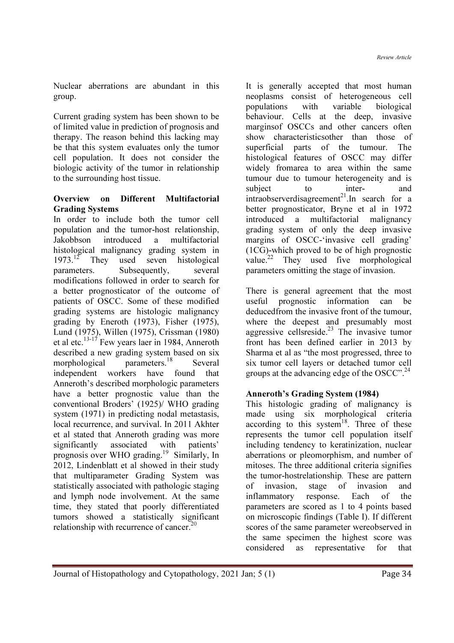Nuclear aberrations are abundant in this group.

Current grading system has been shown to be of limited value in prediction of prognosis and therapy. The reason behind this lacking may be that this system evaluates only the tumor cell population. It does not consider the biologic activity of the tumor in relationship to the surrounding host tissue.

#### Overview on Different Multifactorial Grading Systems

In order to include both the tumor cell population and the tumor-host relationship, Jakobbson introduced a multifactorial histological malignancy grading system in 1973.<sup>12</sup> They used seven histological used seven histological parameters. Subsequently, several modifications followed in order to search for a better prognosticator of the outcome of patients of OSCC. Some of these modified grading systems are histologic malignancy grading by Eneroth (1973), Fisher (1975), Lund (1975), Willen (1975), Crissman (1980) et al etc.<sup>13-17</sup> Few years laer in 1984, Anneroth described a new grading system based on six morphological parameters.<sup>18</sup> Several independent workers have found that Anneroth's described morphologic parameters have a better prognostic value than the conventional Broders' (1925)/ WHO grading system (1971) in predicting nodal metastasis, local recurrence, and survival. In 2011 Akhter et al stated that Anneroth grading was more significantly associated with patients' prognosis over WHO grading.<sup>19</sup> Similarly, In 2012, Lindenblatt et al showed in their study that multiparameter Grading System was statistically associated with pathologic staging and lymph node involvement. At the same time, they stated that poorly differentiated tumors showed a statistically significant relationship with recurrence of cancer. $^{20}$ 

It is generally accepted that most human neoplasms consist of heterogeneous cell populations with variable biological behaviour. Cells at the deep, invasive marginsof OSCCs and other cancers often show characteristicsother than those of superficial parts of the tumour. The histological features of OSCC may differ widely fromarea to area within the same tumour due to tumour heterogeneity and is subject to inter- and intraobserverdisagreement<sup>21</sup>. In search for a better prognosticator, Bryne et al in 1972 introduced a multifactorial malignancy grading system of only the deep invasive margins of OSCC-'invasive cell grading' (1CG)-which proved to be of high prognostic value.<sup>22</sup> They used five morphological parameters omitting the stage of invasion.

There is general agreement that the most useful prognostic information can be deducedfrom the invasive front of the tumour, where the deepest and presumably most aggressive cellsreside.<sup>23</sup> The invasive tumor front has been defined earlier in 2013 by Sharma et al as "the most progressed, three to six tumor cell layers or detached tumor cell groups at the advancing edge of the OSCC".<sup>24</sup>

#### Anneroth's Grading System (1984)

This histologic grading of malignancy is made using six morphological criteria according to this system<sup>18</sup>. Three of these represents the tumor cell population itself including tendency to keratinization, nuclear aberrations or pleomorphism, and number of mitoses. The three additional criteria signifies the tumor-hostrelationship. These are pattern of invasion, stage of invasion and inflammatory response. Each of the parameters are scored as 1 to 4 points based on microscopic findings (Table I). If different scores of the same parameter wereobserved in the same specimen the highest score was considered as representative for that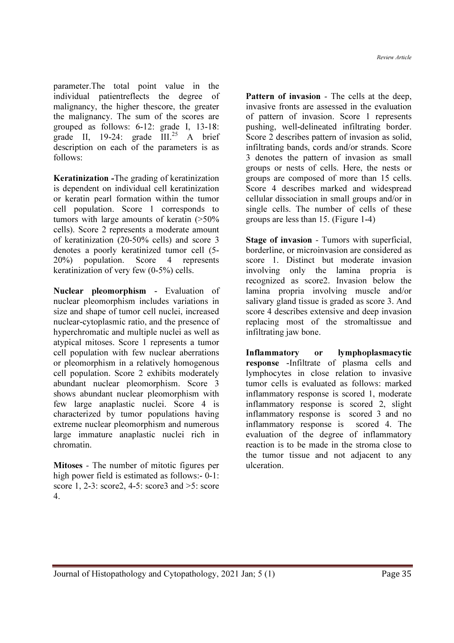parameter.The total point value in the individual patientreflects the degree of malignancy, the higher thescore, the greater the malignancy. The sum of the scores are grouped as follows: 6-12: grade I, 13-18: grade II, 19-24: grade  $\text{III.}^{25}$  A brief description on each of the parameters is as follows:

Keratinization -The grading of keratinization is dependent on individual cell keratinization or keratin pearl formation within the tumor cell population. Score 1 corresponds to tumors with large amounts of keratin (>50% cells). Score 2 represents a moderate amount of keratinization (20-50% cells) and score 3 denotes a poorly keratinized tumor cell (5- 20%) population. Score 4 represents keratinization of very few (0-5%) cells.

Nuclear pleomorphism - Evaluation of nuclear pleomorphism includes variations in size and shape of tumor cell nuclei, increased nuclear-cytoplasmic ratio, and the presence of hyperchromatic and multiple nuclei as well as atypical mitoses. Score 1 represents a tumor cell population with few nuclear aberrations or pleomorphism in a relatively homogenous cell population. Score 2 exhibits moderately abundant nuclear pleomorphism. Score 3 shows abundant nuclear pleomorphism with few large anaplastic nuclei. Score 4 is characterized by tumor populations having extreme nuclear pleomorphism and numerous large immature anaplastic nuclei rich in chromatin.

Mitoses - The number of mitotic figures per high power field is estimated as follows:- 0-1: score 1, 2-3: score2, 4-5: score3 and >5: score 4.

Pattern of invasion - The cells at the deep, invasive fronts are assessed in the evaluation of pattern of invasion. Score 1 represents pushing, well-delineated infiltrating border. Score 2 describes pattern of invasion as solid, infiltrating bands, cords and/or strands. Score 3 denotes the pattern of invasion as small groups or nests of cells. Here, the nests or groups are composed of more than 15 cells. Score 4 describes marked and widespread cellular dissociation in small groups and/or in single cells. The number of cells of these groups are less than 15. (Figure 1-4)

Stage of invasion - Tumors with superficial, borderline, or microinvasion are considered as score 1. Distinct but moderate invasion involving only the lamina propria is recognized as score2. Invasion below the lamina propria involving muscle and/or salivary gland tissue is graded as score 3. And score 4 describes extensive and deep invasion replacing most of the stromaltissue and infiltrating jaw bone.

Inflammatory or lymphoplasmacytic response -Infiltrate of plasma cells and lymphocytes in close relation to invasive tumor cells is evaluated as follows: marked inflammatory response is scored 1, moderate inflammatory response is scored 2, slight inflammatory response is scored 3 and no inflammatory response is scored 4. The evaluation of the degree of inflammatory reaction is to be made in the stroma close to the tumor tissue and not adjacent to any ulceration.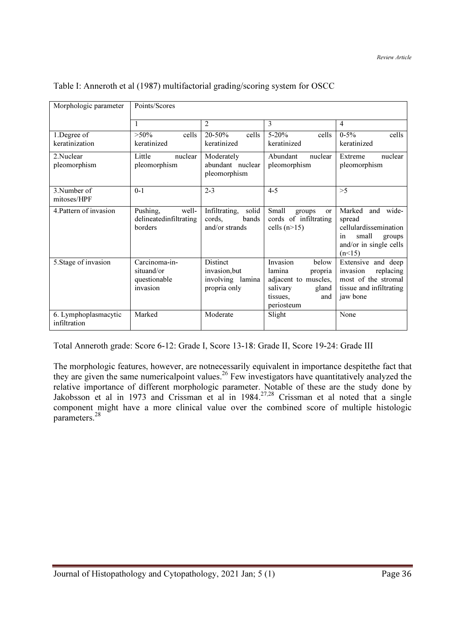| Morphologic parameter                | Points/Scores                                           |                                                              |                                                                                                                      |                                                                                                                     |
|--------------------------------------|---------------------------------------------------------|--------------------------------------------------------------|----------------------------------------------------------------------------------------------------------------------|---------------------------------------------------------------------------------------------------------------------|
|                                      | 1                                                       | 2                                                            | 3                                                                                                                    | $\overline{4}$                                                                                                      |
| 1.Degree of<br>keratinization        | $>50\%$<br>cells<br>keratinized                         | $20 - 50%$<br>cells<br>keratinized                           | $5 - 20%$<br>cells<br>keratinized                                                                                    | $0 - 5\%$<br>cells<br>keratinized                                                                                   |
| 2.Nuclear<br>pleomorphism            | Little<br>nuclear<br>pleomorphism                       | Moderately<br>abundant nuclear<br>pleomorphism               | Abundant<br>nuclear<br>pleomorphism                                                                                  | nuclear<br>Extreme<br>pleomorphism                                                                                  |
| 3. Number of<br>mitoses/HPF          | $0 - 1$                                                 | $2 - 3$                                                      | $4 - 5$                                                                                                              | >5                                                                                                                  |
| 4. Pattern of invasion               | Pushing,<br>well-<br>delineatedinfiltrating<br>borders  | Infiltrating,<br>solid<br>cords,<br>bands<br>and/or strands  | Small<br>groups<br><b>or</b><br>cords of infiltrating<br>cells $(n>15)$                                              | Marked<br>and wide-<br>spread<br>cellulardissemination<br>small<br>groups<br>1n<br>and/or in single cells<br>(n<15) |
| 5. Stage of invasion                 | Carcinoma-in-<br>situand/or<br>questionable<br>invasion | Distinct<br>invasion.but<br>involving lamina<br>propria only | Invasion<br>below<br>lamina<br>propria<br>adjacent to muscles,<br>salivary<br>gland<br>tissues.<br>and<br>periosteum | Extensive and deep<br>replacing<br>invasion<br>most of the stromal<br>tissue and infiltrating<br>jaw bone           |
| 6. Lymphoplasmacytic<br>infiltration | Marked                                                  | Moderate                                                     | Slight                                                                                                               | None                                                                                                                |

Table I: Anneroth et al (1987) multifactorial grading/scoring system for OSCC

Total Anneroth grade: Score 6-12: Grade I, Score 13-18: Grade II, Score 19-24: Grade III

The morphologic features, however, are notnecessarily equivalent in importance despitethe fact that they are given the same numericalpoint values.<sup>26</sup> Few investigators have quantitatively analyzed the relative importance of different morphologic parameter. Notable of these are the study done by Jakobsson et al in 1973 and Crissman et al in  $1984<sup>27,28</sup>$  Crissman et al noted that a single component might have a more clinical value over the combined score of multiple histologic parameters.<sup>28</sup>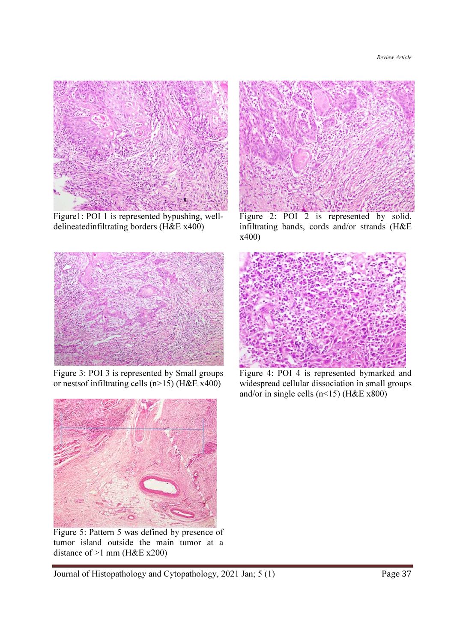

Figure1: POI 1 is represented bypushing, welldelineatedinfiltrating borders (H&E x400)



Figure 3: POI 3 is represented by Small groups or nestsof infiltrating cells  $(n>15)$  (H&E x400)



Figure 2: POI 2 is represented by solid, infiltrating bands, cords and/or strands (H&E x400)



Figure 4: POI 4 is represented bymarked and widespread cellular dissociation in small groups and/or in single cells (n<15) (H&E  $x800$ )



Figure 5: Pattern 5 was defined by presence of tumor island outside the main tumor at a distance of >1 mm (H&E x200)

Journal of Histopathology and Cytopathology, 2021 Jan; 5 (1) Page 37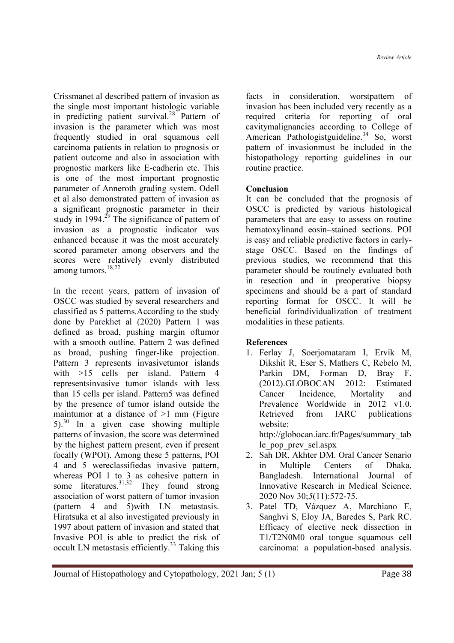Crissmanet al described pattern of invasion as the single most important histologic variable in predicting patient survival. $28$  Pattern of invasion is the parameter which was most frequently studied in oral squamous cell carcinoma patients in relation to prognosis or patient outcome and also in association with prognostic markers like E-cadherin etc. This is one of the most important prognostic parameter of Anneroth grading system. Odell et al also demonstrated pattern of invasion as a significant prognostic parameter in their study in 1994.<sup>29</sup> The significance of pattern of invasion as a prognostic indicator was enhanced because it was the most accurately scored parameter among observers and the scores were relatively evenly distributed among tumors. $^{18,22}$ 

In the recent years, pattern of invasion of OSCC was studied by several researchers and classified as 5 patterns.According to the study done by Parekhet al (2020) Pattern 1 was defined as broad, pushing margin oftumor with a smooth outline. Pattern 2 was defined as broad, pushing finger-like projection. Pattern 3 represents invasivetumor islands with >15 cells per island. Pattern 4 representsinvasive tumor islands with less than 15 cells per island. Pattern5 was defined by the presence of tumor island outside the maintumor at a distance of  $>1$  mm (Figure 5).<sup>30</sup> In a given case showing multiple patterns of invasion, the score was determined by the highest pattern present, even if present focally (WPOI). Among these 5 patterns, POI 4 and 5 wereclassifiedas invasive pattern, whereas POI 1 to 3 as cohesive pattern in some literatures.  $31,32$  They found strong association of worst pattern of tumor invasion (pattern 4 and 5)with LN metastasis. Hiratsuka et al also investigated previously in 1997 about pattern of invasion and stated that Invasive POI is able to predict the risk of occult LN metastasis efficiently.<sup>33</sup> Taking this

facts in consideration, worstpattern of invasion has been included very recently as a required criteria for reporting of oral cavitymalignancies according to College of American Pathologistguideline.<sup>34</sup> So, worst pattern of invasionmust be included in the histopathology reporting guidelines in our routine practice.

# Conclusion

It can be concluded that the prognosis of OSCC is predicted by various histological parameters that are easy to assess on routine hematoxylinand eosin–stained sections. POI is easy and reliable predictive factors in earlystage OSCC. Based on the findings of previous studies, we recommend that this parameter should be routinely evaluated both in resection and in preoperative biopsy specimens and should be a part of standard reporting format for OSCC. It will be beneficial forindividualization of treatment modalities in these patients.

#### References

1. Ferlay J, Soerjomataram I, Ervik M, Dikshit R, Eser S, Mathers C, Rebelo M, Parkin DM, Forman D, Bray F, (2012).GLOBOCAN 2012: Estimated Cancer Incidence, Mortality and Prevalence Worldwide in 2012 v1.0. Retrieved from IARC publications website:

http://globocan.iarc.fr/Pages/summary\_tab le\_pop\_prev\_sel.aspx

- 2. Sah DR, Akhter DM. Oral Cancer Senario in Multiple Centers of Dhaka, Bangladesh. International Journal of Innovative Research in Medical Science. 2020 Nov 30;5(11):572-75.
- 3. Patel TD, Vázquez A, Marchiano E, Sanghvi S, Eloy JA, Baredes S, Park RC. Efficacy of elective neck dissection in T1/T2N0M0 oral tongue squamous cell carcinoma: a population-based analysis.

Journal of Histopathology and Cytopathology, 2021 Jan; 5 (1) Page 38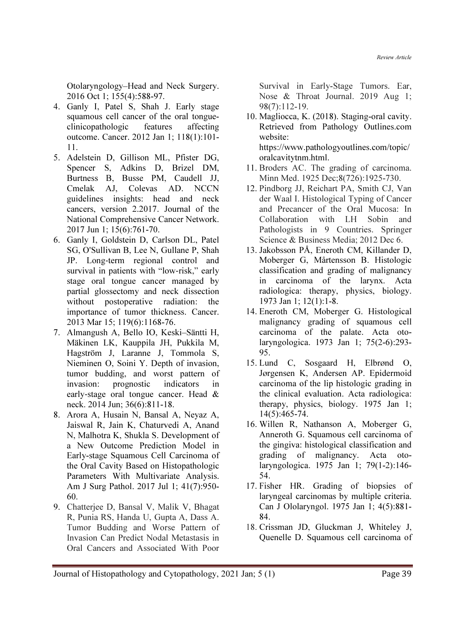Otolaryngology–Head and Neck Surgery. 2016 Oct 1; 155(4):588-97.

- 4. Ganly I, Patel S, Shah J. Early stage squamous cell cancer of the oral tongueclinicopathologic features affecting outcome. Cancer. 2012 Jan 1; 118(1):101- 11.
- 5. Adelstein D, Gillison ML, Pfister DG, Spencer S, Adkins D, Brizel DM, Burtness B, Busse PM, Caudell JJ, Cmelak AJ, Colevas AD. NCCN guidelines insights: head and neck cancers, version 2.2017. Journal of the National Comprehensive Cancer Network. 2017 Jun 1; 15(6):761-70.
- 6. Ganly I, Goldstein D, Carlson DL, Patel SG, O'Sullivan B, Lee N, Gullane P, Shah JP. Long‐term regional control and survival in patients with "low-risk," early stage oral tongue cancer managed by partial glossectomy and neck dissection without postoperative radiation: the importance of tumor thickness. Cancer. 2013 Mar 15; 119(6):1168-76.
- 7. Almangush A, Bello IO, Keski–Säntti H, Mäkinen LK, Kauppila JH, Pukkila M, Hagström J, Laranne J, Tommola S, Nieminen O, Soini Y. Depth of invasion, tumor budding, and worst pattern of invasion: prognostic indicators in early‐stage oral tongue cancer. Head & neck. 2014 Jun; 36(6):811-18.
- 8. Arora A, Husain N, Bansal A, Neyaz A, Jaiswal R, Jain K, Chaturvedi A, Anand N, Malhotra K, Shukla S. Development of a New Outcome Prediction Model in Early-stage Squamous Cell Carcinoma of the Oral Cavity Based on Histopathologic Parameters With Multivariate Analysis. Am J Surg Pathol. 2017 Jul 1; 41(7):950- 60.
- 9. Chatterjee D, Bansal V, Malik V, Bhagat R, Punia RS, Handa U, Gupta A, Dass A. Tumor Budding and Worse Pattern of Invasion Can Predict Nodal Metastasis in Oral Cancers and Associated With Poor

Survival in Early-Stage Tumors. Ear, Nose & Throat Journal. 2019 Aug 1; 98(7):112-19.

10. Magliocca, K. (2018). Staging-oral cavity. Retrieved from Pathology Outlines.com website:

https://www.pathologyoutlines.com/topic/ oralcavitytnm.html.

- 11. Broders AC. The grading of carcinoma. Minn Med. 1925 Dec;8(726):1925-730.
- 12. Pindborg JJ, Reichart PA, Smith CJ, Van der Waal I. Histological Typing of Cancer and Precancer of the Oral Mucosa: In Collaboration with LH Sobin and Pathologists in 9 Countries. Springer Science & Business Media; 2012 Dec 6.
- 13. Jakobsson PÅ, Eneroth CM, Killander D, Moberger G, Mårtensson B. Histologic classification and grading of malignancy in carcinoma of the larynx. Acta radiologica: therapy, physics, biology. 1973 Jan 1; 12(1):1-8.
- 14. Eneroth CM, Moberger G. Histological malignancy grading of squamous cell carcinoma of the palate. Acta otolaryngologica. 1973 Jan 1; 75(2-6):293- 95.
- 15. Lund C, Sosgaard H, Elbrønd O, Jørgensen K, Andersen AP. Epidermoid carcinoma of the lip histologic grading in the clinical evaluation. Acta radiologica: therapy, physics, biology. 1975 Jan 1; 14(5):465-74.
- 16. Willen R, Nathanson A, Moberger G, Anneroth G. Squamous cell carcinoma of the gingiva: histological classification and grading of malignancy. Acta otolaryngologica. 1975 Jan 1; 79(1-2):146- 54.
- 17. Fisher HR. Grading of biopsies of laryngeal carcinomas by multiple criteria. Can J Ololaryngol. 1975 Jan 1; 4(5):881- 84.
- 18. Crissman JD, Gluckman J, Whiteley J, Quenelle D. Squamous cell carcinoma of

Journal of Histopathology and Cytopathology, 2021 Jan; 5 (1) Page 39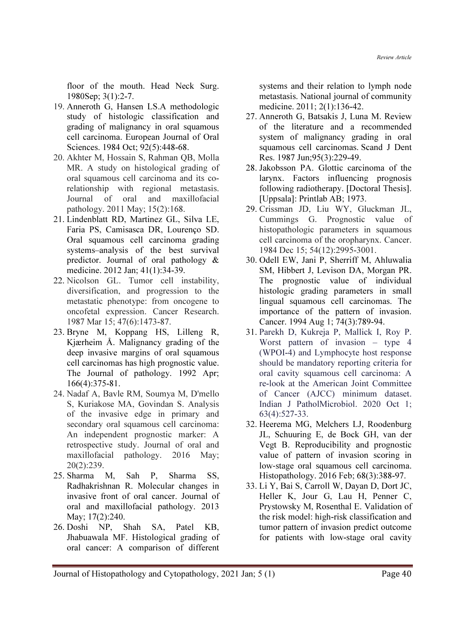floor of the mouth. Head Neck Surg. 1980Sep; 3(1):2-7.

- 19. Anneroth G, Hansen LS.A methodologic study of histologic classification and grading of malignancy in oral squamous cell carcinoma. European Journal of Oral Sciences. 1984 Oct; 92(5):448-68.
- 20. Akhter M, Hossain S, Rahman QB, Molla MR. A study on histological grading of oral squamous cell carcinoma and its corelationship with regional metastasis. Journal of oral and maxillofacial pathology. 2011 May; 15(2):168.
- 21. Lindenblatt RD, Martinez GL, Silva LE, Faria PS, Camisasca DR, Lourenço SD. Oral squamous cell carcinoma grading systems–analysis of the best survival predictor. Journal of oral pathology & medicine. 2012 Jan; 41(1):34-39.
- 22. Nicolson GL. Tumor cell instability, diversification, and progression to the metastatic phenotype: from oncogene to oncofetal expression. Cancer Research. 1987 Mar 15; 47(6):1473-87.
- 23. Bryne M, Koppang HS, Lilleng R, Kjærheim Å. Malignancy grading of the deep invasive margins of oral squamous cell carcinomas has high prognostic value. The Journal of pathology. 1992 Apr; 166(4):375-81.
- 24. Nadaf A, Bavle RM, Soumya M, D'mello S, Kuriakose MA, Govindan S. Analysis of the invasive edge in primary and secondary oral squamous cell carcinoma: An independent prognostic marker: A retrospective study. Journal of oral and maxillofacial pathology. 2016 May; 20(2):239.
- 25. Sharma M, Sah P, Sharma SS, Radhakrishnan R. Molecular changes in invasive front of oral cancer. Journal of oral and maxillofacial pathology. 2013 May; 17(2):240.
- 26. Doshi NP, Shah SA, Patel KB, Jhabuawala MF. Histological grading of oral cancer: A comparison of different

systems and their relation to lymph node metastasis. National journal of community medicine. 2011; 2(1):136-42.

- 27. Anneroth G, Batsakis J, Luna M. Review of the literature and a recommended system of malignancy grading in oral squamous cell carcinomas. Scand J Dent Res. 1987 Jun;95(3):229-49.
- 28. Jakobsson PA. Glottic carcinoma of the larynx. Factors influencing prognosis following radiotherapy. [Doctoral Thesis]. [Uppsala]: Printlab AB; 1973.
- 29. Crissman JD, Liu WY, Gluckman JL, Cummings G. Prognostic value of histopathologic parameters in squamous cell carcinoma of the oropharynx. Cancer. 1984 Dec 15; 54(12):2995-3001.
- 30. Odell EW, Jani P, Sherriff M, Ahluwalia SM, Hibbert J, Levison DA, Morgan PR. The prognostic value of individual histologic grading parameters in small lingual squamous cell carcinomas. The importance of the pattern of invasion. Cancer. 1994 Aug 1; 74(3):789-94.
- 31. Parekh D, Kukreja P, Mallick I, Roy P. Worst pattern of invasion – type 4 (WPOI-4) and Lymphocyte host response should be mandatory reporting criteria for oral cavity squamous cell carcinoma: A re-look at the American Joint Committee of Cancer (AJCC) minimum dataset. Indian J PatholMicrobiol. 2020 Oct 1; 63(4):527-33.
- 32. Heerema MG, Melchers LJ, Roodenburg JL, Schuuring E, de Bock GH, van der Vegt B. Reproducibility and prognostic value of pattern of invasion scoring in low‐stage oral squamous cell carcinoma. Histopathology. 2016 Feb; 68(3):388-97.
- 33. Li Y, Bai S, Carroll W, Dayan D, Dort JC, Heller K, Jour G, Lau H, Penner C, Prystowsky M, Rosenthal E. Validation of the risk model: high-risk classification and tumor pattern of invasion predict outcome for patients with low-stage oral cavity

Journal of Histopathology and Cytopathology, 2021 Jan; 5 (1) Page 40